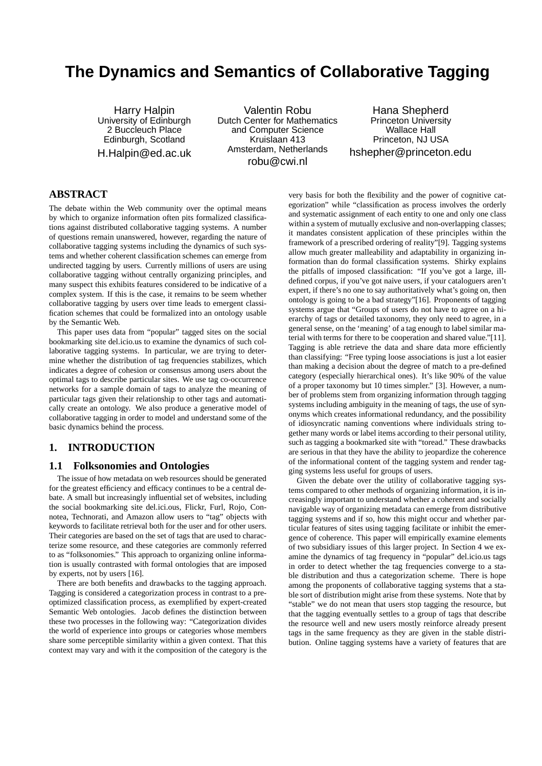# **The Dynamics and Semantics of Collaborative Tagging**

Harry Halpin University of Edinburgh 2 Buccleuch Place Edinburgh, Scotland H.Halpin@ed.ac.uk

Valentin Robu Dutch Center for Mathematics and Computer Science Kruislaan 413 Amsterdam, Netherlands robu@cwi.nl

Hana Shepherd Princeton University Wallace Hall Princeton, NJ USA hshepher@princeton.edu

# **ABSTRACT**

The debate within the Web community over the optimal means by which to organize information often pits formalized classifications against distributed collaborative tagging systems. A number of questions remain unanswered, however, regarding the nature of collaborative tagging systems including the dynamics of such systems and whether coherent classification schemes can emerge from undirected tagging by users. Currently millions of users are using collaborative tagging without centrally organizing principles, and many suspect this exhibits features considered to be indicative of a complex system. If this is the case, it remains to be seem whether collaborative tagging by users over time leads to emergent classification schemes that could be formalized into an ontology usable by the Semantic Web.

This paper uses data from "popular" tagged sites on the social bookmarking site del.icio.us to examine the dynamics of such collaborative tagging systems. In particular, we are trying to determine whether the distribution of tag frequencies stabilizes, which indicates a degree of cohesion or consensus among users about the optimal tags to describe particular sites. We use tag co-occurrence networks for a sample domain of tags to analyze the meaning of particular tags given their relationship to other tags and automatically create an ontology. We also produce a generative model of collaborative tagging in order to model and understand some of the basic dynamics behind the process.

# **1. INTRODUCTION**

## **1.1 Folksonomies and Ontologies**

The issue of how metadata on web resources should be generated for the greatest efficiency and efficacy continues to be a central debate. A small but increasingly influential set of websites, including the social bookmarking site del.ici.ous, Flickr, Furl, Rojo, Connotea, Technorati, and Amazon allow users to "tag" objects with keywords to facilitate retrieval both for the user and for other users. Their categories are based on the set of tags that are used to characterize some resource, and these categories are commonly referred to as "folksonomies." This approach to organizing online information is usually contrasted with formal ontologies that are imposed by experts, not by users [16].

There are both benefits and drawbacks to the tagging approach. Tagging is considered a categorization process in contrast to a preoptimized classification process, as exemplified by expert-created Semantic Web ontologies. Jacob defines the distinction between these two processes in the following way: "Categorization divides the world of experience into groups or categories whose members share some perceptible similarity within a given context. That this context may vary and with it the composition of the category is the

very basis for both the flexibility and the power of cognitive categorization" while "classification as process involves the orderly and systematic assignment of each entity to one and only one class within a system of mutually exclusive and non-overlapping classes; it mandates consistent application of these principles within the framework of a prescribed ordering of reality"[9]. Tagging systems allow much greater malleability and adaptability in organizing information than do formal classification systems. Shirky explains the pitfalls of imposed classification: "If you've got a large, illdefined corpus, if you've got naive users, if your cataloguers aren't expert, if there's no one to say authoritatively what's going on, then ontology is going to be a bad strategy"[16]. Proponents of tagging systems argue that "Groups of users do not have to agree on a hierarchy of tags or detailed taxonomy, they only need to agree, in a general sense, on the 'meaning' of a tag enough to label similar material with terms for there to be cooperation and shared value."[11]. Tagging is able retrieve the data and share data more efficiently than classifying: "Free typing loose associations is just a lot easier than making a decision about the degree of match to a pre-defined category (especially hierarchical ones). It's like 90% of the value of a proper taxonomy but 10 times simpler." [3]. However, a number of problems stem from organizing information through tagging systems including ambiguity in the meaning of tags, the use of synonyms which creates informational redundancy, and the possibility of idiosyncratic naming conventions where individuals string together many words or label items according to their personal utility, such as tagging a bookmarked site with "toread." These drawbacks are serious in that they have the ability to jeopardize the coherence of the informational content of the tagging system and render tagging systems less useful for groups of users.

Given the debate over the utility of collaborative tagging systems compared to other methods of organizing information, it is increasingly important to understand whether a coherent and socially navigable way of organizing metadata can emerge from distributive tagging systems and if so, how this might occur and whether particular features of sites using tagging facilitate or inhibit the emergence of coherence. This paper will empirically examine elements of two subsidiary issues of this larger project. In Section 4 we examine the dynamics of tag frequency in "popular" del.icio.us tags in order to detect whether the tag frequencies converge to a stable distribution and thus a categorization scheme. There is hope among the proponents of collaborative tagging systems that a stable sort of distribution might arise from these systems. Note that by "stable" we do not mean that users stop tagging the resource, but that the tagging eventually settles to a group of tags that describe the resource well and new users mostly reinforce already present tags in the same frequency as they are given in the stable distribution. Online tagging systems have a variety of features that are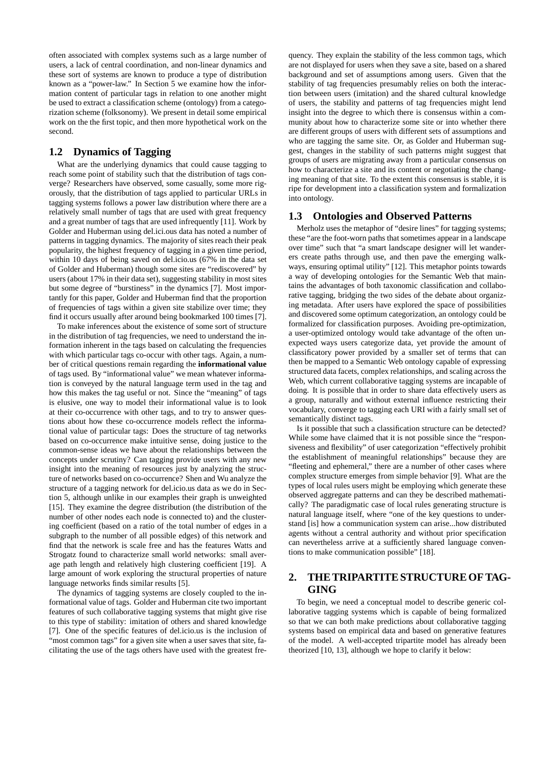often associated with complex systems such as a large number of users, a lack of central coordination, and non-linear dynamics and these sort of systems are known to produce a type of distribution known as a "power-law." In Section 5 we examine how the information content of particular tags in relation to one another might be used to extract a classification scheme (ontology) from a categorization scheme (folksonomy). We present in detail some empirical work on the the first topic, and then more hypothetical work on the second.

# **1.2 Dynamics of Tagging**

What are the underlying dynamics that could cause tagging to reach some point of stability such that the distribution of tags converge? Researchers have observed, some casually, some more rigorously, that the distribution of tags applied to particular URLs in tagging systems follows a power law distribution where there are a relatively small number of tags that are used with great frequency and a great number of tags that are used infrequently [11]. Work by Golder and Huberman using del.ici.ous data has noted a number of patterns in tagging dynamics. The majority of sites reach their peak popularity, the highest frequency of tagging in a given time period, within 10 days of being saved on del.icio.us (67% in the data set of Golder and Huberman) though some sites are "rediscovered" by users (about 17% in their data set), suggesting stability in most sites but some degree of "burstiness" in the dynamics [7]. Most importantly for this paper, Golder and Huberman find that the proportion of frequencies of tags within a given site stabilize over time; they find it occurs usually after around being bookmarked 100 times [7].

To make inferences about the existence of some sort of structure in the distribution of tag frequencies, we need to understand the information inherent in the tags based on calculating the frequencies with which particular tags co-occur with other tags. Again, a number of critical questions remain regarding the **informational value** of tags used. By "informational value" we mean whatever information is conveyed by the natural language term used in the tag and how this makes the tag useful or not. Since the "meaning" of tags is elusive, one way to model their informational value is to look at their co-occurrence with other tags, and to try to answer questions about how these co-occurrence models reflect the informational value of particular tags: Does the structure of tag networks based on co-occurrence make intuitive sense, doing justice to the common-sense ideas we have about the relationships between the concepts under scrutiny? Can tagging provide users with any new insight into the meaning of resources just by analyzing the structure of networks based on co-occurrence? Shen and Wu analyze the structure of a tagging network for del.icio.us data as we do in Section 5, although unlike in our examples their graph is unweighted [15]. They examine the degree distribution (the distribution of the number of other nodes each node is connected to) and the clustering coefficient (based on a ratio of the total number of edges in a subgraph to the number of all possible edges) of this network and find that the network is scale free and has the features Watts and Strogatz found to characterize small world networks: small average path length and relatively high clustering coefficient [19]. A large amount of work exploring the structural properties of nature language networks finds similar results [5].

The dynamics of tagging systems are closely coupled to the informational value of tags. Golder and Huberman cite two important features of such collaborative tagging systems that might give rise to this type of stability: imitation of others and shared knowledge [7]. One of the specific features of del.icio.us is the inclusion of "most common tags" for a given site when a user saves that site, facilitating the use of the tags others have used with the greatest fre-

quency. They explain the stability of the less common tags, which are not displayed for users when they save a site, based on a shared background and set of assumptions among users. Given that the stability of tag frequencies presumably relies on both the interaction between users (imitation) and the shared cultural knowledge of users, the stability and patterns of tag frequencies might lend insight into the degree to which there is consensus within a community about how to characterize some site or into whether there are different groups of users with different sets of assumptions and who are tagging the same site. Or, as Golder and Huberman suggest, changes in the stability of such patterns might suggest that groups of users are migrating away from a particular consensus on how to characterize a site and its content or negotiating the changing meaning of that site. To the extent this consensus is stable, it is ripe for development into a classification system and formalization into ontology.

#### **1.3 Ontologies and Observed Patterns**

Merholz uses the metaphor of "desire lines" for tagging systems; these "are the foot-worn paths that sometimes appear in a landscape over time" such that "a smart landscape designer will let wanderers create paths through use, and then pave the emerging walkways, ensuring optimal utility" [12]. This metaphor points towards a way of developing ontologies for the Semantic Web that maintains the advantages of both taxonomic classification and collaborative tagging, bridging the two sides of the debate about organizing metadata. After users have explored the space of possibilities and discovered some optimum categorization, an ontology could be formalized for classification purposes. Avoiding pre-optimization, a user-optimized ontology would take advantage of the often unexpected ways users categorize data, yet provide the amount of classificatory power provided by a smaller set of terms that can then be mapped to a Semantic Web ontology capable of expressing structured data facets, complex relationships, and scaling across the Web, which current collaborative tagging systems are incapable of doing. It is possible that in order to share data effectively users as a group, naturally and without external influence restricting their vocabulary, converge to tagging each URI with a fairly small set of semantically distinct tags.

Is it possible that such a classification structure can be detected? While some have claimed that it is not possible since the "responsiveness and flexibility" of user categorization "effectively prohibit the establishment of meaningful relationships" because they are "fleeting and ephemeral," there are a number of other cases where complex structure emerges from simple behavior [9]. What are the types of local rules users might be employing which generate these observed aggregate patterns and can they be described mathematically? The paradigmatic case of local rules generating structure is natural language itself, where "one of the key questions to understand [is] how a communication system can arise...how distributed agents without a central authority and without prior specification can nevertheless arrive at a sufficiently shared language conventions to make communication possible" [18].

# **2. THETRIPARTITESTRUCTUREOFTAG-GING**

To begin, we need a conceptual model to describe generic collaborative tagging systems which is capable of being formalized so that we can both make predictions about collaborative tagging systems based on empirical data and based on generative features of the model. A well-accepted tripartite model has already been theorized [10, 13], although we hope to clarify it below: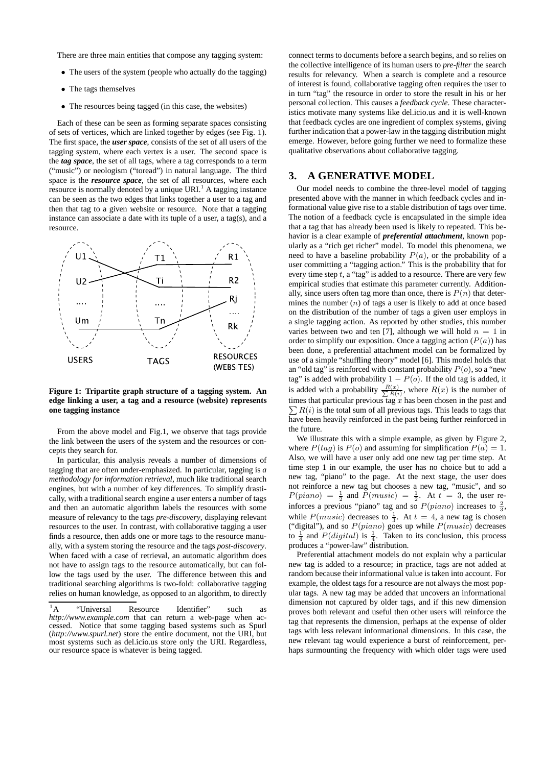There are three main entities that compose any tagging system:

- The users of the system (people who actually do the tagging)
- The tags themselves
- The resources being tagged (in this case, the websites)

Each of these can be seen as forming separate spaces consisting of sets of vertices, which are linked together by edges (see Fig. 1). The first space, the *user space*, consists of the set of all users of the tagging system, where each vertex is a user. The second space is the *tag space*, the set of all tags, where a tag corresponds to a term ("music") or neologism ("toread") in natural language. The third space is the *resource space*, the set of all resources, where each resource is normally denoted by a unique URI.<sup>1</sup> A tagging instance can be seen as the two edges that links together a user to a tag and then that tag to a given website or resource. Note that a tagging instance can associate a date with its tuple of a user, a tag(s), and a resource.



**Figure 1: Tripartite graph structure of a tagging system. An edge linking a user, a tag and a resource (website) represents one tagging instance**

From the above model and Fig.1, we observe that tags provide the link between the users of the system and the resources or concepts they search for.

In particular, this analysis reveals a number of dimensions of tagging that are often under-emphasized. In particular, tagging is *a methodology for information retrieval*, much like traditional search engines, but with a number of key differences. To simplify drastically, with a traditional search engine a user enters a number of tags and then an automatic algorithm labels the resources with some measure of relevancy to the tags *pre-discovery*, displaying relevant resources to the user. In contrast, with collaborative tagging a user finds a resource, then adds one or more tags to the resource manually, with a system storing the resource and the tags *post-discovery*. When faced with a case of retrieval, an automatic algorithm does not have to assign tags to the resource automatically, but can follow the tags used by the user. The difference between this and traditional searching algorithms is two-fold: collaborative tagging relies on human knowledge, as opposed to an algorithm, to directly

connect terms to documents before a search begins, and so relies on the collective intelligence of its human users to *pre-filter* the search results for relevancy. When a search is complete and a resource of interest is found, collaborative tagging often requires the user to in turn "tag" the resource in order to store the result in his or her personal collection. This causes a *feedback cycle*. These characteristics motivate many systems like del.icio.us and it is well-known that feedback cycles are one ingredient of complex systems, giving further indication that a power-law in the tagging distribution might emerge. However, before going further we need to formalize these qualitative observations about collaborative tagging.

## **3. A GENERATIVE MODEL**

Our model needs to combine the three-level model of tagging presented above with the manner in which feedback cycles and informational value give rise to a stable distribution of tags over time. The notion of a feedback cycle is encapsulated in the simple idea that a tag that has already been used is likely to repeated. This behavior is a clear example of *preferential attachment*, known popularly as a "rich get richer" model. To model this phenomena, we need to have a baseline probability  $P(a)$ , or the probability of a user committing a "tagging action." This is the probability that for every time step  $t$ , a "tag" is added to a resource. There are very few empirical studies that estimate this parameter currently. Additionally, since users often tag more than once, there is  $P(n)$  that determines the number  $(n)$  of tags a user is likely to add at once based on the distribution of the number of tags a given user employs in a single tagging action. As reported by other studies, this number varies between two and ten [7], although we will hold  $n = 1$  in order to simplify our exposition. Once a tagging action  $(P(a))$  has been done, a preferential attachment model can be formalized by use of a simple "shuffling theory" model [6]. This model holds that an "old tag" is reinforced with constant probability  $P(o)$ , so a "new tag" is added with probability  $1 - P(o)$ . If the old tag is added, it is added with a probability  $\frac{R(x)}{\sum R(i)}$ , where  $R(x)$  is the number of  $\sum R(i)$  is the total sum of all previous tags. This leads to tags that times that particular previous tag  $x$  has been chosen in the past and have been heavily reinforced in the past being further reinforced in the future.

We illustrate this with a simple example, as given by Figure 2, where  $P(tag)$  is  $P(o)$  and assuming for simplification  $P(a) = 1$ . Also, we will have a user only add one new tag per time step. At time step 1 in our example, the user has no choice but to add a new tag, "piano" to the page. At the next stage, the user does not reinforce a new tag but chooses a new tag, "music", and so  $P(piano) = \frac{1}{2}$  and  $P(music) = \frac{1}{2}$ . At  $t = 3$ , the user reinforces a previous "piano" tag and so  $P(piano)$  increases to  $\frac{2}{3}$ , while  $P(music)$  decreases to  $\frac{1}{3}$ . At  $t = 4$ , a new tag is chosen ("digital"), and so  $P(piano)$  goes up while  $P(music)$  decreases to  $\frac{1}{4}$  and  $P(digital)$  is  $\frac{1}{4}$ . Taken to its conclusion, this process produces a "power-law" distribution.

Preferential attachment models do not explain why a particular new tag is added to a resource; in practice, tags are not added at random because their informational value is taken into account. For example, the oldest tags for a resource are not always the most popular tags. A new tag may be added that uncovers an informational dimension not captured by older tags, and if this new dimension proves both relevant and useful then other users will reinforce the tag that represents the dimension, perhaps at the expense of older tags with less relevant informational dimensions. In this case, the new relevant tag would experience a burst of reinforcement, perhaps surmounting the frequency with which older tags were used

<sup>&</sup>lt;sup>1</sup>A "Universal Resource Identifier" such as *http://www.example.com* that can return a web-page when accessed. Notice that some tagging based systems such as Spurl (*http://www.spurl.net*) store the entire document, not the URI, but most systems such as del.icio.us store only the URI. Regardless, our resource space is whatever is being tagged.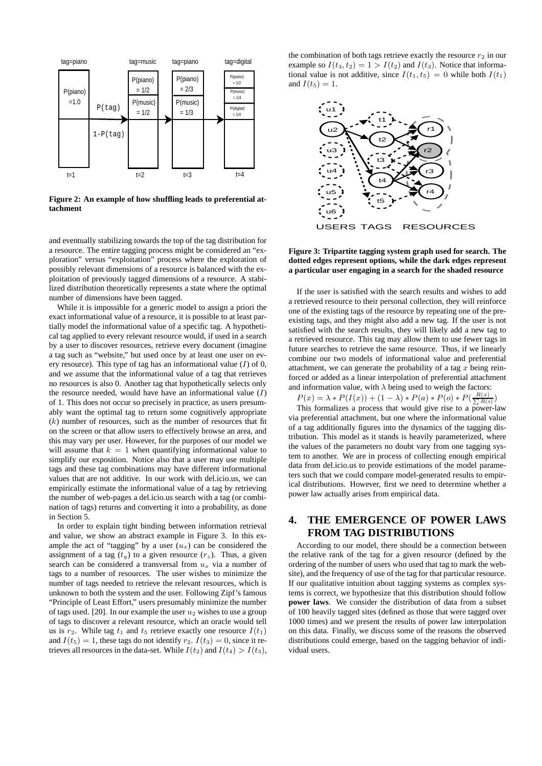

**Figure 2: An example of how shuffling leads to preferential attachment**

and eventually stabilizing towards the top of the tag distribution for a resource. The entire tagging process might be considered an "exploration" versus "exploitation" process where the exploration of possibly relevant dimensions of a resource is balanced with the exploitation of previously tagged dimensions of a resource. A stabilized distribution theoretically represents a state where the optimal number of dimensions have been tagged.

While it is impossible for a generic model to assign a priori the exact informational value of a resource, it is possible to at least partially model the informational value of a specific tag. A hypothetical tag applied to every relevant resource would, if used in a search by a user to discover resources, retrieve every document (imagine a tag such as "website," but used once by at least one user on every resource). This type of tag has an informational value  $(I)$  of 0, and we assume that the informational value of a tag that retrieves no resources is also 0. Another tag that hypothetically selects only the resource needed, would have have an informational value  $(I)$ of 1. This does not occur so precisely in practice, as users presumably want the optimal tag to return some cognitively appropriate  $(k)$  number of resources, such as the number of resources that fit on the screen or that allow users to effectively browse an area, and this may vary per user. However, for the purposes of our model we will assume that  $k = 1$  when quantifying informational value to simplify our exposition. Notice also that a user may use multiple tags and these tag combinations may have different informational values that are not additive. In our work with del.icio.us, we can empirically estimate the informational value of a tag by retrieving the number of web-pages a del.icio.us search with a tag (or combination of tags) returns and converting it into a probability, as done in Section 5.

In order to explain tight binding between information retrieval and value, we show an abstract example in Figure 3. In this example the act of "tagging" by a user  $(u_x)$  can be considered the assignment of a tag  $(t_y)$  to a given resource  $(r_z)$ . Thus, a given search can be considered a transversal from  $u<sub>x</sub>$  via a number of tags to a number of resources. The user wishes to minimize the number of tags needed to retrieve the relevant resources, which is unknown to both the system and the user. Following Zipf's famous "Principle of Least Effort," users presumably minimize the number of tags used. [20]. In our example the user  $u_2$  wishes to use a group of tags to discover a relevant resource, which an oracle would tell us is  $r_2$ . While tag  $t_1$  and  $t_5$  retrieve exactly one resource  $I(t_1)$ and  $I(t_5) = 1$ , these tags do not identify  $r_2$ .  $I(t_3) = 0$ , since it retrieves all resources in the data-set. While  $I(t_2)$  and  $I(t_4) > I(t_3)$ ,

the combination of both tags retrieve exactly the resource  $r_2$  in our example so  $I(t_3, t_2) = 1 > I(t_2)$  and  $I(t_3)$ . Notice that informational value is not additive, since  $I(t_1, t_5) = 0$  while both  $I(t_1)$ and  $I(t_5) = 1$ .



#### **Figure 3: Tripartite tagging system graph used for search. The dotted edges represent options, while the dark edges represent a particular user engaging in a search for the shaded resource**

If the user is satisfied with the search results and wishes to add a retrieved resource to their personal collection, they will reinforce one of the existing tags of the resource by repeating one of the preexisting tags, and they might also add a new tag. If the user is not satisfied with the search results, they will likely add a new tag to a retrieved resource. This tag may allow them to use fewer tags in future searches to retrieve the same resource. Thus, if we linearly combine our two models of informational value and preferential attachment, we can generate the probability of a tag  $x$  being reinforced or added as a linear interpolation of preferential attachment and information value, with  $\lambda$  being used to weigh the factors:

 $P(x) = \lambda * P(I(x)) + (1 - \lambda) * P(a) * P(o) * P(\frac{R(x)}{\sum R(i)} )$ 

This formalizes a process that would give rise to a power-law via preferential attachment, but one where the informational value of a tag additionally figures into the dynamics of the tagging distribution. This model as it stands is heavily parameterized, where the values of the parameters no doubt vary from one tagging system to another. We are in process of collecting enough empirical data from del.icio.us to provide estimations of the model parameters such that we could compare model-generated results to empirical distributions. However, first we need to determine whether a power law actually arises from empirical data.

# **4. THE EMERGENCE OF POWER LAWS FROM TAG DISTRIBUTIONS**

According to our model, there should be a connection between the relative rank of the tag for a given resource (defined by the ordering of the number of users who used that tag to mark the website), and the frequency of use of the tag for that particular resource. If our qualitative intuition about tagging systems as complex systems is correct, we hypothesize that this distribution should follow **power laws**. We consider the distribution of data from a subset of 100 heavily tagged sites (defined as those that were tagged over 1000 times) and we present the results of power law interpolation on this data. Finally, we discuss some of the reasons the observed distributions could emerge, based on the tagging behavior of individual users.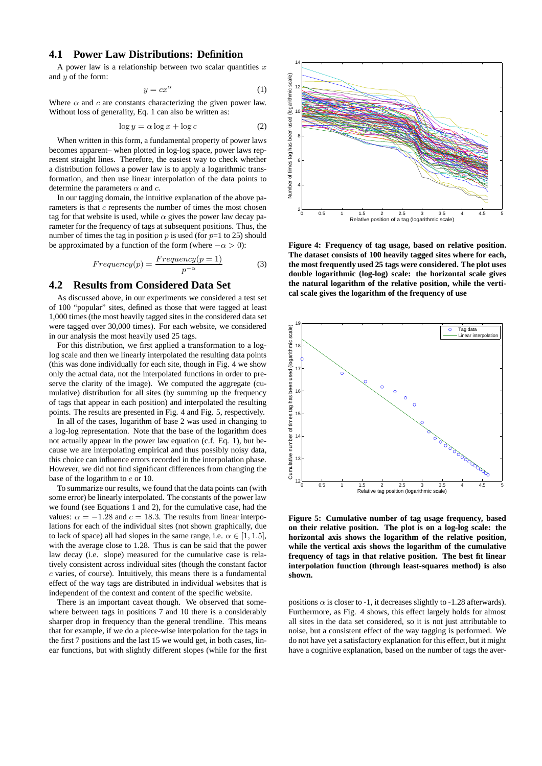# **4.1 Power Law Distributions: Definition**

A power law is a relationship between two scalar quantities  $x$ and  *of the form:* 

$$
y = cx^{\alpha} \tag{1}
$$

Where  $\alpha$  and c are constants characterizing the given power law. Without loss of generality, Eq. 1 can also be written as:

$$
\log y = \alpha \log x + \log c \tag{2}
$$

When written in this form, a fundamental property of power laws becomes apparent– when plotted in log-log space, power laws represent straight lines. Therefore, the easiest way to check whether a distribution follows a power law is to apply a logarithmic transformation, and then use linear interpolation of the data points to determine the parameters  $\alpha$  and  $c$ .

In our tagging domain, the intuitive explanation of the above parameters is that  $c$  represents the number of times the most chosen tag for that website is used, while  $\alpha$  gives the power law decay parameter for the frequency of tags at subsequent positions. Thus, the number of times the tag in position  $p$  is used (for  $p=1$  to 25) should be approximated by a function of the form (where  $-\alpha > 0$ ):

$$
Frequency(p) = \frac{Frequency(p=1)}{p^{-\alpha}} \tag{3}
$$

#### **4.2 Results from Considered Data Set**

As discussed above, in our experiments we considered a test set of 100 "popular" sites, defined as those that were tagged at least 1,000 times (the most heavily tagged sites in the considered data set were tagged over 30,000 times). For each website, we considered in our analysis the most heavily used 25 tags.

For this distribution, we first applied a transformation to a loglog scale and then we linearly interpolated the resulting data points (this was done individually for each site, though in Fig. 4 we show only the actual data, not the interpolated functions in order to preserve the clarity of the image). We computed the aggregate (cumulative) distribution for all sites (by summing up the frequency of tags that appear in each position) and interpolated the resulting points. The results are presented in Fig. 4 and Fig. 5, respectively.

In all of the cases, logarithm of base 2 was used in changing to a log-log representation. Note that the base of the logarithm does not actually appear in the power law equation (c.f. Eq. 1), but because we are interpolating empirical and thus possibly noisy data, this choice can influence errors recorded in the interpolation phase. However, we did not find significant differences from changing the base of the logarithm to e or 10.

To summarize our results, we found that the data points can (with some error) be linearly interpolated. The constants of the power law we found (see Equations 1 and 2), for the cumulative case, had the values:  $\alpha = -1.28$  and  $c = 18.3$ . The results from linear interpolations for each of the individual sites (not shown graphically, due to lack of space) all had slopes in the same range, i.e.  $\alpha \in [1, 1.5]$ , with the average close to 1.28. Thus is can be said that the power law decay (i.e. slope) measured for the cumulative case is relatively consistent across individual sites (though the constant factor  $c$  varies, of course). Intuitively, this means there is a fundamental effect of the way tags are distributed in individual websites that is independent of the context and content of the specific website.

There is an important caveat though. We observed that somewhere between tags in positions 7 and 10 there is a considerably sharper drop in frequency than the general trendline. This means that for example, if we do a piece-wise interpolation for the tags in the first 7 positions and the last 15 we would get, in both cases, linear functions, but with slightly different slopes (while for the first



**Figure 4: Frequency of tag usage, based on relative position. The dataset consists of 100 heavily tagged sites where for each, the most frequently used 25 tags were considered. The plot uses double logarithmic (log-log) scale: the horizontal scale gives the natural logarithm of the relative position, while the vertical scale gives the logarithm of the frequency of use**



**Figure 5: Cumulative number of tag usage frequency, based on their relative position. The plot is on a log-log scale: the horizontal axis shows the logarithm of the relative position, while the vertical axis shows the logarithm of the cumulative frequency of tags in that relative position. The best fit linear interpolation function (through least-squares method) is also shown.**

positions  $\alpha$  is closer to -1, it decreases slightly to -1.28 afterwards). Furthermore, as Fig. 4 shows, this effect largely holds for almost all sites in the data set considered, so it is not just attributable to noise, but a consistent effect of the way tagging is performed. We do not have yet a satisfactory explanation for this effect, but it might have a cognitive explanation, based on the number of tags the aver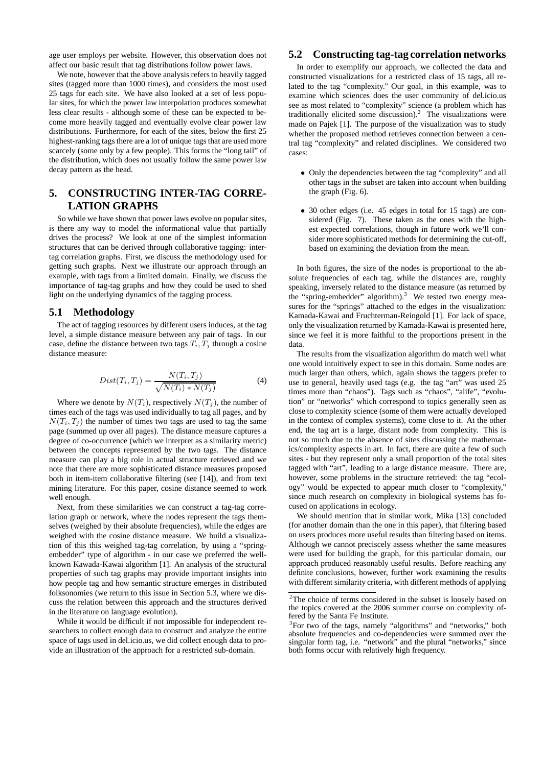age user employs per website. However, this observation does not affect our basic result that tag distributions follow power laws.

We note, however that the above analysis refers to heavily tagged sites (tagged more than 1000 times), and considers the most used 25 tags for each site. We have also looked at a set of less popular sites, for which the power law interpolation produces somewhat less clear results - although some of these can be expected to become more heavily tagged and eventually evolve clear power law distributions. Furthermore, for each of the sites, below the first 25 highest-ranking tags there are a lot of unique tags that are used more scarcely (some only by a few people). This forms the "long tail" of the distribution, which does not usually follow the same power law decay pattern as the head.

# **5. CONSTRUCTING INTER-TAG CORRE-LATION GRAPHS**

So while we have shown that power laws evolve on popular sites, is there any way to model the informational value that partially drives the process? We look at one of the simplest information structures that can be derived through collaborative tagging: intertag correlation graphs. First, we discuss the methodology used for getting such graphs. Next we illustrate our approach through an example, with tags from a limited domain. Finally, we discuss the importance of tag-tag graphs and how they could be used to shed light on the underlying dynamics of the tagging process.

## **5.1 Methodology**

The act of tagging resources by different users induces, at the tag level, a simple distance measure between any pair of tags. In our case, define the distance between two tags  $T_i, T_j$  through a cosine distance measure:

$$
Dist(T_i, T_j) = \frac{N(T_i, T_j)}{\sqrt{N(T_i) * N(T_j)}}
$$
(4)

Where we denote by  $N(T_i)$ , respectively  $N(T_j)$ , the number of times each of the tags was used individually to tag all pages, and by  $N(T_i, T_j)$  the number of times two tags are used to tag the same page (summed up over all pages). The distance measure captures a degree of co-occurrence (which we interpret as a similarity metric) between the concepts represented by the two tags. The distance measure can play a big role in actual structure retrieved and we note that there are more sophisticated distance measures proposed both in item-item collaborative filtering (see [14]), and from text mining literature. For this paper, cosine distance seemed to work well enough.

Next, from these similarities we can construct a tag-tag correlation graph or network, where the nodes represent the tags themselves (weighed by their absolute frequencies), while the edges are weighed with the cosine distance measure. We build a visualization of this this weighed tag-tag correlation, by using a "springembedder" type of algorithm - in our case we preferred the wellknown Kawada-Kawai algorithm [1]. An analysis of the structural properties of such tag graphs may provide important insights into how people tag and how semantic structure emerges in distributed folksonomies (we return to this issue in Section 5.3, where we discuss the relation between this approach and the structures derived in the literature on language evolution).

While it would be difficult if not impossible for independent researchers to collect enough data to construct and analyze the entire space of tags used in del.icio.us, we did collect enough data to provide an illustration of the approach for a restricted sub-domain.

## **5.2 Constructing tag-tag correlation networks**

In order to exemplify our approach, we collected the data and constructed visualizations for a restricted class of 15 tags, all related to the tag "complexity." Our goal, in this example, was to examine which sciences does the user community of del.icio.us see as most related to "complexity" science (a problem which has traditionally elicited some discussion).<sup>2</sup> The visualizations were made on Pajek [1]. The purpose of the visualization was to study whether the proposed method retrieves connection between a central tag "complexity" and related disciplines. We considered two cases:

- Only the dependencies between the tag "complexity" and all other tags in the subset are taken into account when building the graph (Fig. 6).
- 30 other edges (i.e. 45 edges in total for 15 tags) are considered (Fig. 7). These taken as the ones with the highest expected correlations, though in future work we'll consider more sophisticated methods for determining the cut-off, based on examining the deviation from the mean.

In both figures, the size of the nodes is proportional to the absolute frequencies of each tag, while the distances are, roughly speaking, inversely related to the distance measure (as returned by the "spring-embedder" algorithm).<sup>3</sup> We tested two energy measures for the "springs" attached to the edges in the visualization: Kamada-Kawai and Fruchterman-Reingold [1]. For lack of space, only the visualization returned by Kamada-Kawai is presented here, since we feel it is more faithful to the proportions present in the data.

The results from the visualization algorithm do match well what one would intuitively expect to see in this domain. Some nodes are much larger than others, which, again shows the taggers prefer to use to general, heavily used tags (e.g. the tag "art" was used 25 times more than "chaos"). Tags such as "chaos", "alife", "evolution" or "networks" which correspond to topics generally seen as close to complexity science (some of them were actually developed in the context of complex systems), come close to it. At the other end, the tag art is a large, distant node from complexity. This is not so much due to the absence of sites discussing the mathematics/complexity aspects in art. In fact, there are quite a few of such sites - but they represent only a small proportion of the total sites tagged with "art", leading to a large distance measure. There are, however, some problems in the structure retrieved: the tag "ecology" would be expected to appear much closer to "complexity," since much research on complexity in biological systems has focused on applications in ecology.

We should mention that in similar work, Mika [13] concluded (for another domain than the one in this paper), that filtering based on users produces more useful results than filtering based on items. Although we cannot preciscely assess whether the same measures were used for building the graph, for this particular domain, our approach produced reasonably useful results. Before reaching any definite conclusions, however, further work examining the results with different similarity criteria, with different methods of applying

<sup>&</sup>lt;sup>2</sup>The choice of terms considered in the subset is loosely based on the topics covered at the 2006 summer course on complexity offered by the Santa Fe Institute.

<sup>&</sup>lt;sup>3</sup>For two of the tags, namely "algorithms" and "networks," both absolute frequencies and co-dependencies were summed over the singular form tag, i.e. "network" and the plural "networks," since both forms occur with relatively high frequency.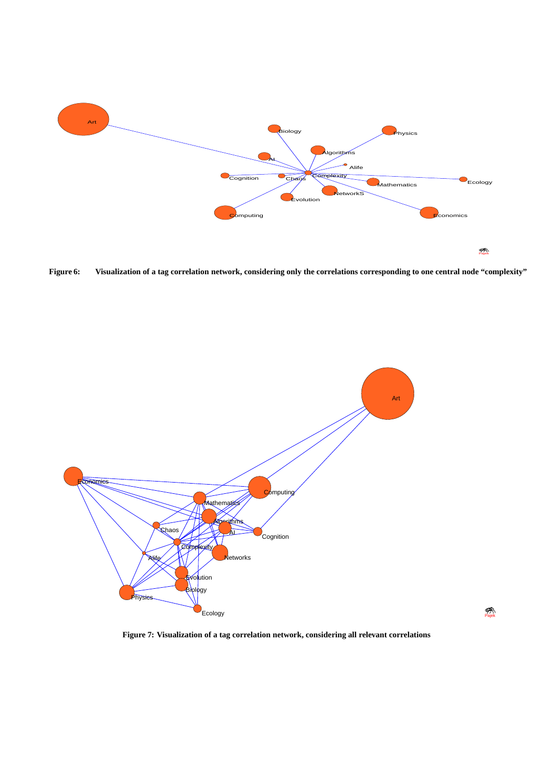

Figure 6: Visualization of a tag correlation network, considering only the correlations corresponding to one central node "complexity"



**Figure 7: Visualization of a tag correlation network, considering all relevant correlations**

Pajek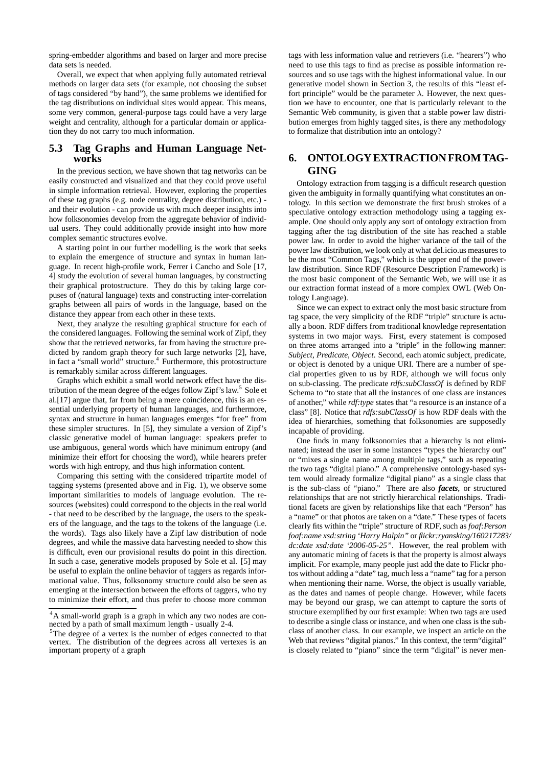spring-embedder algorithms and based on larger and more precise data sets is needed.

Overall, we expect that when applying fully automated retrieval methods on larger data sets (for example, not choosing the subset of tags considered "by hand"), the same problems we identified for the tag distributions on individual sites would appear. This means, some very common, general-purpose tags could have a very large weight and centrality, although for a particular domain or application they do not carry too much information.

# **5.3 Tag Graphs and Human Language Networks**

In the previous section, we have shown that tag networks can be easily constructed and visualized and that they could prove useful in simple information retrieval. However, exploring the properties of these tag graphs (e.g. node centrality, degree distribution, etc.) and their evolution - can provide us with much deeper insights into how folksonomies develop from the aggregate behavior of individual users. They could additionally provide insight into how more complex semantic structures evolve.

A starting point in our further modelling is the work that seeks to explain the emergence of structure and syntax in human language. In recent high-profile work, Ferrer i Cancho and Sole [17, 4] study the evolution of several human languages, by constructing their graphical protostructure. They do this by taking large corpuses of (natural language) texts and constructing inter-correlation graphs between all pairs of words in the language, based on the distance they appear from each other in these texts.

Next, they analyze the resulting graphical structure for each of the considered languages. Following the seminal work of Zipf, they show that the retrieved networks, far from having the structure predicted by random graph theory for such large networks [2], have, in fact a "small world" structure.<sup>4</sup> Furthermore, this protostructure is remarkably similar across different languages.

Graphs which exhibit a small world network effect have the distribution of the mean degree of the edges follow Zipf's law.<sup>5</sup> Sole et al.[17] argue that, far from being a mere coincidence, this is an essential underlying property of human languages, and furthermore, syntax and structure in human languages emerges "for free" from these simpler structures. In [5], they simulate a version of Zipf's classic generative model of human language: speakers prefer to use ambiguous, general words which have minimum entropy (and minimize their effort for choosing the word), while hearers prefer words with high entropy, and thus high information content.

Comparing this setting with the considered tripartite model of tagging systems (presented above and in Fig. 1), we observe some important similarities to models of language evolution. The resources (websites) could correspond to the objects in the real world - that need to be described by the language, the users to the speakers of the language, and the tags to the tokens of the language (i.e. the words). Tags also likely have a Zipf law distribution of node degrees, and while the massive data harvesting needed to show this is difficult, even our provisional results do point in this direction. In such a case, generative models proposed by Sole et al. [5] may be useful to explain the online behavior of taggers as regards informational value. Thus, folksonomy structure could also be seen as emerging at the intersection between the efforts of taggers, who try to minimize their effort, and thus prefer to choose more common

tags with less information value and retrievers (i.e. "hearers") who need to use this tags to find as precise as possible information resources and so use tags with the highest informational value. In our generative model shown in Section 3, the results of this "least effort principle" would be the parameter  $\lambda$ . However, the next question we have to encounter, one that is particularly relevant to the Semantic Web community, is given that a stable power law distribution emerges from highly tagged sites, is there any methodology to formalize that distribution into an ontology?

# **6. ONTOLOGY EXTRACTION FROMTAG-GING**

Ontology extraction from tagging is a difficult research question given the ambiguity in formally quantifying what constitutes an ontology. In this section we demonstrate the first brush strokes of a speculative ontology extraction methodology using a tagging example. One should only apply any sort of ontology extraction from tagging after the tag distribution of the site has reached a stable power law. In order to avoid the higher variance of the tail of the power law distribution, we look only at what del.icio.us measures to be the most "Common Tags," which is the upper end of the powerlaw distribution. Since RDF (Resource Description Framework) is the most basic component of the Semantic Web, we will use it as our extraction format instead of a more complex OWL (Web Ontology Language).

Since we can expect to extract only the most basic structure from tag space, the very simplicity of the RDF "triple" structure is actually a boon. RDF differs from traditional knowledge representation systems in two major ways. First, every statement is composed on three atoms arranged into a "triple" in the following manner: *Subject, Predicate, Object*. Second, each atomic subject, predicate, or object is denoted by a unique URI. There are a number of special properties given to us by RDF, although we will focus only on sub-classing. The predicate *rdfs:subClassOf* is defined by RDF Schema to "to state that all the instances of one class are instances of another," while *rdf:type* states that "a resource is an instance of a class" [8]. Notice that *rdfs:subClassOf* is how RDF deals with the idea of hierarchies, something that folksonomies are supposedly incapable of providing.

One finds in many folksonomies that a hierarchy is not eliminated; instead the user in some instances "types the hierarchy out" or "mixes a single name among multiple tags," such as repeating the two tags "digital piano." A comprehensive ontology-based system would already formalize "digital piano" as a single class that is the sub-class of "piano." There are also *facets*, or structured relationships that are not strictly hierarchical relationships. Traditional facets are given by relationships like that each "Person" has a "name" or that photos are taken on a "date." These types of facets clearly fits within the "triple" structure of RDF, such as *foaf:Person foaf:name xsd:string 'Harry Halpin"* or *flickr:ryansking/160217283/ dc:date xsd:date '2006-05-25"*. However, the real problem with any automatic mining of facets is that the property is almost always implicit. For example, many people just add the date to Flickr photos without adding a "date" tag, much less a "name" tag for a person when mentioning their name. Worse, the object is usually variable, as the dates and names of people change. However, while facets may be beyond our grasp, we can attempt to capture the sorts of structure exemplified by our first example: When two tags are used to describe a single class or instance, and when one class is the subclass of another class. In our example, we inspect an article on the Web that reviews "digital pianos." In this context, the term "digital" is closely related to "piano" since the term "digital" is never men-

<sup>4</sup>A small-world graph is a graph in which any two nodes are connected by a path of small maximum length - usually 2-4.

<sup>5</sup>The degree of a vertex is the number of edges connected to that vertex. The distribution of the degrees across all vertexes is an important property of a graph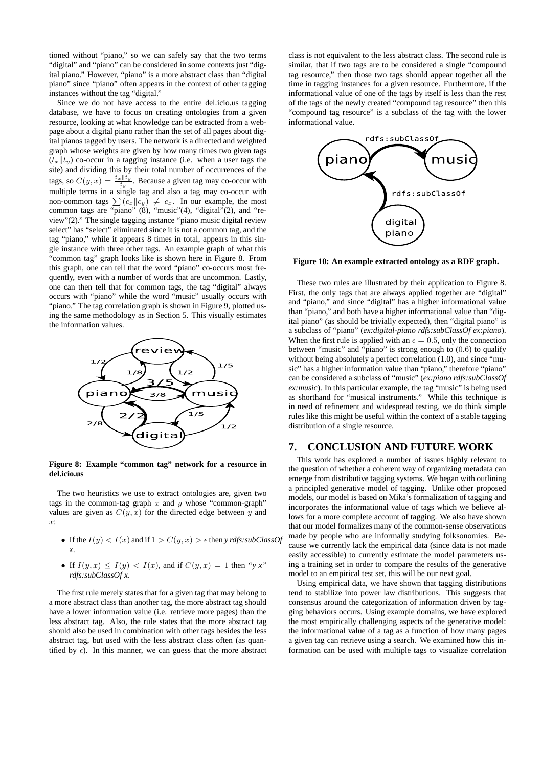tioned without "piano," so we can safely say that the two terms "digital" and "piano" can be considered in some contexts just "digital piano." However, "piano" is a more abstract class than "digital piano" since "piano" often appears in the context of other tagging instances without the tag "digital."

Since we do not have access to the entire del.icio.us tagging database, we have to focus on creating ontologies from a given resource, looking at what knowledge can be extracted from a webpage about a digital piano rather than the set of all pages about digital pianos tagged by users. The network is a directed and weighted graph whose weights are given by how many times two given tags  $(t_x||t_y)$  co-occur in a tagging instance (i.e. when a user tags the site) and dividing this by their total number of occurrences of the tags, so  $C(y, x) = \frac{t_x || t_y}{t_y}$ . Because a given tag may co-occur with multiple terms in a single tag and also a tag may co-occur with non-common tags  $\sum (c_x || c_y) \neq c_x$ . In our example, the most common tags are "piano" (8), "music"(4), "digital"(2), and "review"(2)." The single tagging instance "piano music digital review select" has "select" eliminated since it is not a common tag, and the tag "piano," while it appears 8 times in total, appears in this single instance with three other tags. An example graph of what this "common tag" graph looks like is shown here in Figure 8. From this graph, one can tell that the word "piano" co-occurs most frequently, even with a number of words that are uncommon. Lastly, one can then tell that for common tags, the tag "digital" always occurs with "piano" while the word "music" usually occurs with "piano." The tag correlation graph is shown in Figure 9, plotted using the same methodology as in Section 5. This visually estimates the information values.



**Figure 8: Example "common tag" network for a resource in del.icio.us**

The two heuristics we use to extract ontologies are, given two tags in the common-tag graph  $x$  and  $y$  whose "common-graph" values are given as  $C(y, x)$  for the directed edge between y and x:

- If the  $I(y) < I(x)$  and if  $1 > C(y, x) > \epsilon$  then *y rdfs:subClassOf x*.
- If  $I(y, x) \leq I(y) < I(x)$ , and if  $C(y, x) = 1$  then "y x" *rdfs:subClassOf x*.

The first rule merely states that for a given tag that may belong to a more abstract class than another tag, the more abstract tag should have a lower information value (i.e. retrieve more pages) than the less abstract tag. Also, the rule states that the more abstract tag should also be used in combination with other tags besides the less abstract tag, but used with the less abstract class often (as quantified by  $\epsilon$ ). In this manner, we can guess that the more abstract

class is not equivalent to the less abstract class. The second rule is similar, that if two tags are to be considered a single "compound tag resource," then those two tags should appear together all the time in tagging instances for a given resource. Furthermore, if the informational value of one of the tags by itself is less than the rest of the tags of the newly created "compound tag resource" then this "compound tag resource" is a subclass of the tag with the lower informational value.



**Figure 10: An example extracted ontology as a RDF graph.**

These two rules are illustrated by their application to Figure 8. First, the only tags that are always applied together are "digital" and "piano," and since "digital" has a higher informational value than "piano," and both have a higher informational value than "digital piano" (as should be trivially expected), then "digital piano" is a subclass of "piano" (*ex:digital-piano rdfs:subClassOf ex:piano*). When the first rule is applied with an  $\epsilon = 0.5$ , only the connection between "music" and "piano" is strong enough to (0.6) to qualify without being absolutely a perfect correlation (1.0), and since "music" has a higher information value than "piano," therefore "piano" can be considered a subclass of "music" (*ex:piano rdfs:subClassOf ex:music*). In this particular example, the tag "music" is being used as shorthand for "musical instruments." While this technique is in need of refinement and widespread testing, we do think simple rules like this might be useful within the context of a stable tagging distribution of a single resource.

#### **7. CONCLUSION AND FUTURE WORK**

This work has explored a number of issues highly relevant to the question of whether a coherent way of organizing metadata can emerge from distributive tagging systems. We began with outlining a principled generative model of tagging. Unlike other proposed models, our model is based on Mika's formalization of tagging and incorporates the informational value of tags which we believe allows for a more complete account of tagging. We also have shown that our model formalizes many of the common-sense observations made by people who are informally studying folksonomies. Because we currently lack the empirical data (since data is not made easily accessible) to currently estimate the model parameters using a training set in order to compare the results of the generative model to an empirical test set, this will be our next goal.

Using empirical data, we have shown that tagging distributions tend to stabilize into power law distributions. This suggests that consensus around the categorization of information driven by tagging behaviors occurs. Using example domains, we have explored the most empirically challenging aspects of the generative model: the informational value of a tag as a function of how many pages a given tag can retrieve using a search. We examined how this information can be used with multiple tags to visualize correlation